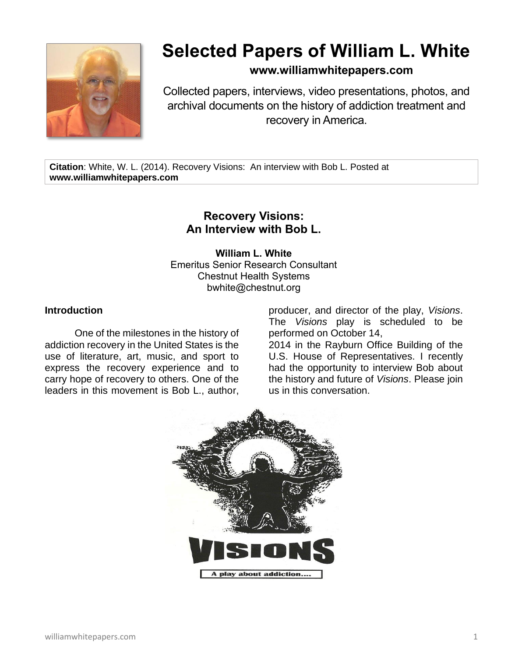

# **Selected Papers of William L. White**

## **www.williamwhitepapers.com**

Collected papers, interviews, video presentations, photos, and archival documents on the history of addiction treatment and recovery in America.

**Citation**: White, W. L. (2014). Recovery Visions: An interview with Bob L. Posted at **www.williamwhitepapers.com**

## **Recovery Visions: An Interview with Bob L.**

**William L. White** Emeritus Senior Research Consultant Chestnut Health Systems bwhite@chestnut.org

### **Introduction**

One of the milestones in the history of addiction recovery in the United States is the use of literature, art, music, and sport to express the recovery experience and to carry hope of recovery to others. One of the leaders in this movement is Bob L., author,

producer, and director of the play, *Visions*. The *Visions* play is scheduled to be performed on October 14,

2014 in the Rayburn Office Building of the U.S. House of Representatives. I recently had the opportunity to interview Bob about the history and future of *Visions*. Please join us in this conversation.

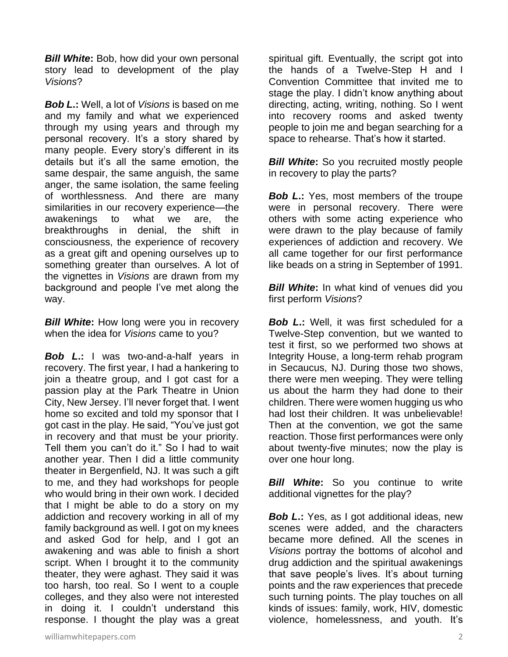*Bill White***:** Bob, how did your own personal story lead to development of the play *Visions*?

*Bob L***.:** Well, a lot of *Visions* is based on me and my family and what we experienced through my using years and through my personal recovery. It's a story shared by many people. Every story's different in its details but it's all the same emotion, the same despair, the same anguish, the same anger, the same isolation, the same feeling of worthlessness. And there are many similarities in our recovery experience—the awakenings to what we are, the breakthroughs in denial, the shift in consciousness, the experience of recovery as a great gift and opening ourselves up to something greater than ourselves. A lot of the vignettes in *Visions* are drawn from my background and people I've met along the way.

*Bill White***:** How long were you in recovery when the idea for *Visions* came to you?

*Bob L***.:** I was two-and-a-half years in recovery. The first year, I had a hankering to join a theatre group, and I got cast for a passion play at the Park Theatre in Union City, New Jersey. I'll never forget that. I went home so excited and told my sponsor that I got cast in the play. He said, "You've just got in recovery and that must be your priority. Tell them you can't do it." So I had to wait another year. Then I did a little community theater in Bergenfield, NJ. It was such a gift to me, and they had workshops for people who would bring in their own work. I decided that I might be able to do a story on my addiction and recovery working in all of my family background as well. I got on my knees and asked God for help, and I got an awakening and was able to finish a short script. When I brought it to the community theater, they were aghast. They said it was too harsh, too real. So I went to a couple colleges, and they also were not interested in doing it. I couldn't understand this response. I thought the play was a great

spiritual gift. Eventually, the script got into the hands of a Twelve-Step H and I Convention Committee that invited me to stage the play. I didn't know anything about directing, acting, writing, nothing. So I went into recovery rooms and asked twenty people to join me and began searching for a space to rehearse. That's how it started.

*Bill White:* So you recruited mostly people in recovery to play the parts?

*Bob L.*: Yes, most members of the troupe were in personal recovery. There were others with some acting experience who were drawn to the play because of family experiences of addiction and recovery. We all came together for our first performance like beads on a string in September of 1991.

*Bill White***:** In what kind of venues did you first perform *Visions*?

*Bob L***.:** Well, it was first scheduled for a Twelve-Step convention, but we wanted to test it first, so we performed two shows at Integrity House, a long-term rehab program in Secaucus, NJ. During those two shows, there were men weeping. They were telling us about the harm they had done to their children. There were women hugging us who had lost their children. It was unbelievable! Then at the convention, we got the same reaction. Those first performances were only about twenty-five minutes; now the play is over one hour long.

*Bill White***:** So you continue to write additional vignettes for the play?

*Bob L.*: Yes, as I got additional ideas, new scenes were added, and the characters became more defined. All the scenes in *Visions* portray the bottoms of alcohol and drug addiction and the spiritual awakenings that save people's lives. It's about turning points and the raw experiences that precede such turning points. The play touches on all kinds of issues: family, work, HIV, domestic violence, homelessness, and youth. It's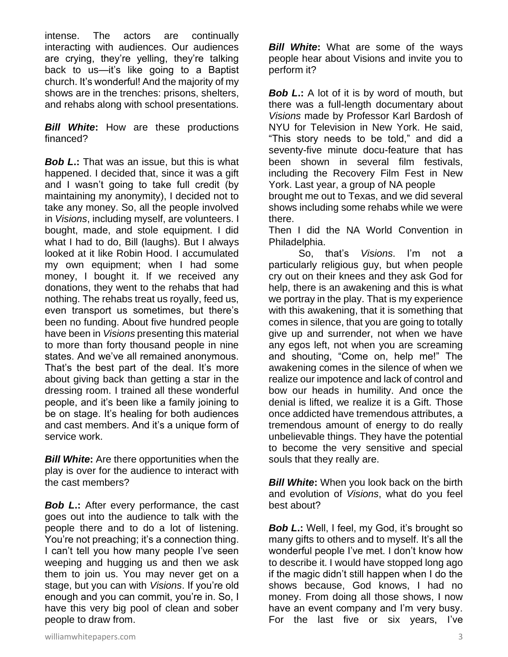intense. The actors are continually interacting with audiences. Our audiences are crying, they're yelling, they're talking back to us—it's like going to a Baptist church. It's wonderful! And the majority of my shows are in the trenches: prisons, shelters, and rehabs along with school presentations.

*Bill White***:** How are these productions financed?

*Bob L***.:** That was an issue, but this is what happened. I decided that, since it was a gift and I wasn't going to take full credit (by maintaining my anonymity), I decided not to take any money. So, all the people involved in *Visions*, including myself, are volunteers. I bought, made, and stole equipment. I did what I had to do, Bill (laughs). But I always looked at it like Robin Hood. I accumulated my own equipment; when I had some money, I bought it. If we received any donations, they went to the rehabs that had nothing. The rehabs treat us royally, feed us, even transport us sometimes, but there's been no funding. About five hundred people have been in *Visions* presenting this material to more than forty thousand people in nine states. And we've all remained anonymous. That's the best part of the deal. It's more about giving back than getting a star in the dressing room. I trained all these wonderful people, and it's been like a family joining to be on stage. It's healing for both audiences and cast members. And it's a unique form of service work.

*Bill White***:** Are there opportunities when the play is over for the audience to interact with the cast members?

*Bob L***.:** After every performance, the cast goes out into the audience to talk with the people there and to do a lot of listening. You're not preaching; it's a connection thing. I can't tell you how many people I've seen weeping and hugging us and then we ask them to join us. You may never get on a stage, but you can with *Visions*. If you're old enough and you can commit, you're in. So, I have this very big pool of clean and sober people to draw from.

*Bill White***:** What are some of the ways people hear about Visions and invite you to perform it?

*Bob L***.:** A lot of it is by word of mouth, but there was a full-length documentary about *Visions* made by Professor Karl Bardosh of NYU for Television in New York. He said, "This story needs to be told," and did a seventy-five minute docu-feature that has been shown in several film festivals, including the Recovery Film Fest in New York. Last year, a group of NA people brought me out to Texas, and we did several

shows including some rehabs while we were there. Then I did the NA World Convention in

Philadelphia. So, that's *Visions*. I'm not a particularly religious guy, but when people cry out on their knees and they ask God for help, there is an awakening and this is what we portray in the play. That is my experience with this awakening, that it is something that comes in silence, that you are going to totally give up and surrender, not when we have any egos left, not when you are screaming and shouting, "Come on, help me!" The awakening comes in the silence of when we realize our impotence and lack of control and bow our heads in humility. And once the denial is lifted, we realize it is a Gift. Those once addicted have tremendous attributes, a tremendous amount of energy to do really unbelievable things. They have the potential to become the very sensitive and special souls that they really are.

*Bill White***:** When you look back on the birth and evolution of *Visions*, what do you feel best about?

*Bob L.***:** Well, I feel, my God, it's brought so many gifts to others and to myself. It's all the wonderful people I've met. I don't know how to describe it. I would have stopped long ago if the magic didn't still happen when I do the shows because, God knows, I had no money. From doing all those shows, I now have an event company and I'm very busy. For the last five or six years, I've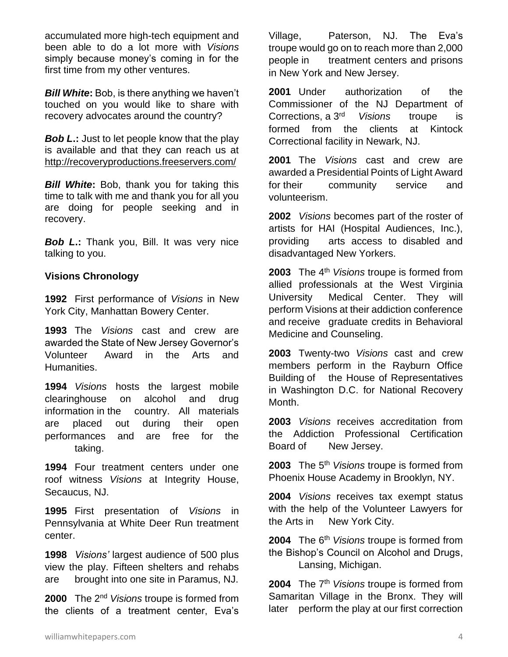accumulated more high-tech equipment and been able to do a lot more with *Visions* simply because money's coming in for the first time from my other ventures.

*Bill White***:** Bob, is there anything we haven't touched on you would like to share with recovery advocates around the country?

*Bob L***.:** Just to let people know that the play is available and that they can reach us at <http://recoveryproductions.freeservers.com/>

*Bill White***:** Bob, thank you for taking this time to talk with me and thank you for all you are doing for people seeking and in recovery.

*Bob L***.:** Thank you, Bill. It was very nice talking to you.

### **Visions Chronology**

**1992** First performance of *Visions* in New York City, Manhattan Bowery Center.

**1993** The *Visions* cast and crew are awarded the State of New Jersey Governor's Volunteer Award in the Arts and Humanities.

**1994** *Visions* hosts the largest mobile clearinghouse on alcohol and drug information in the country. All materials are placed out during their open performances and are free for the taking.

**1994** Four treatment centers under one roof witness *Visions* at Integrity House, Secaucus, NJ.

**1995** First presentation of *Visions* in Pennsylvania at White Deer Run treatment center.

**1998** *Visions'* largest audience of 500 plus view the play. Fifteen shelters and rehabs are brought into one site in Paramus, NJ.

**2000** The 2nd *Visions* troupe is formed from the clients of a treatment center, Eva's

Village, Paterson, NJ. The Eva's troupe would go on to reach more than 2,000 people in treatment centers and prisons in New York and New Jersey.

**2001** Under authorization of the Commissioner of the NJ Department of Corrections, a 3rd *Visions* troupe is formed from the clients at Kintock Correctional facility in Newark, NJ.

**2001** The *Visions* cast and crew are awarded a Presidential Points of Light Award for their community service and volunteerism.

**2002** *Visions* becomes part of the roster of artists for HAI (Hospital Audiences, Inc.), providing arts access to disabled and disadvantaged New Yorkers.

**2003** The 4th *Visions* troupe is formed from allied professionals at the West Virginia University Medical Center. They will perform Visions at their addiction conference and receive graduate credits in Behavioral Medicine and Counseling.

**2003** Twenty-two *Visions* cast and crew members perform in the Rayburn Office Building of the House of Representatives in Washington D.C. for National Recovery Month.

**2003** *Visions* receives accreditation from the Addiction Professional Certification Board of New Jersey.

**2003** The 5th *Visions* troupe is formed from Phoenix House Academy in Brooklyn, NY.

**2004** *Visions* receives tax exempt status with the help of the Volunteer Lawyers for the Arts in New York City.

2004 The 6<sup>th</sup> Visions troupe is formed from the Bishop's Council on Alcohol and Drugs, Lansing, Michigan.

2004 The 7<sup>th</sup> Visions troupe is formed from Samaritan Village in the Bronx. They will later perform the play at our first correction